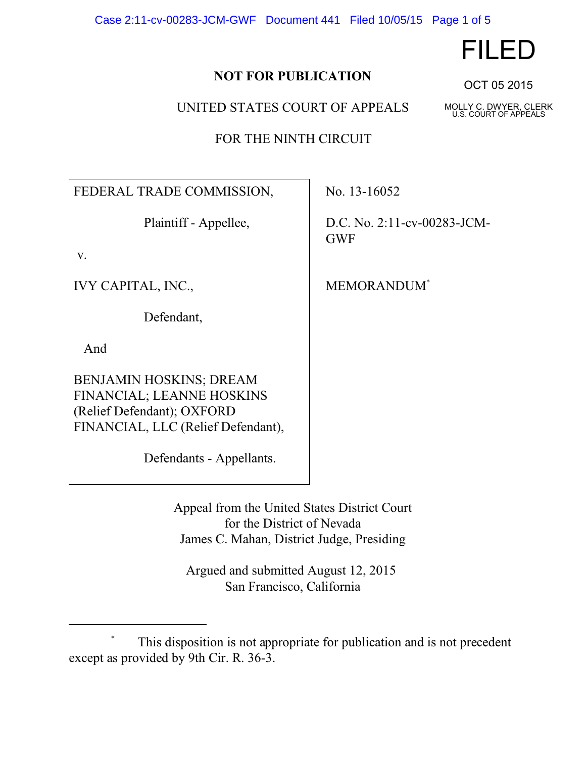Case 2:11-cv-00283-JCM-GWF Document 441 Filed 10/05/15 Page 1 of 5

## **NOT FOR PUBLICATION**

UNITED STATES COURT OF APPEALS

FOR THE NINTH CIRCUIT

FEDERAL TRADE COMMISSION, No. 13-16052

v.

IVY CAPITAL, INC., MEMORANDUM<sup>\*</sup>

Defendant,

And

BENJAMIN HOSKINS; DREAM FINANCIAL; LEANNE HOSKINS (Relief Defendant); OXFORD FINANCIAL, LLC (Relief Defendant),

Defendants - Appellants.

Plaintiff - Appellee,  $\vert$  D.C. No. 2:11-cv-00283-JCM-GWF

Appeal from the United States District Court for the District of Nevada James C. Mahan, District Judge, Presiding

 Argued and submitted August 12, 2015 San Francisco, California

FILED

OCT 05 2015

U.S. COURT OF APPEALS

This disposition is not appropriate for publication and is not precedent except as provided by 9th Cir. R. 36-3.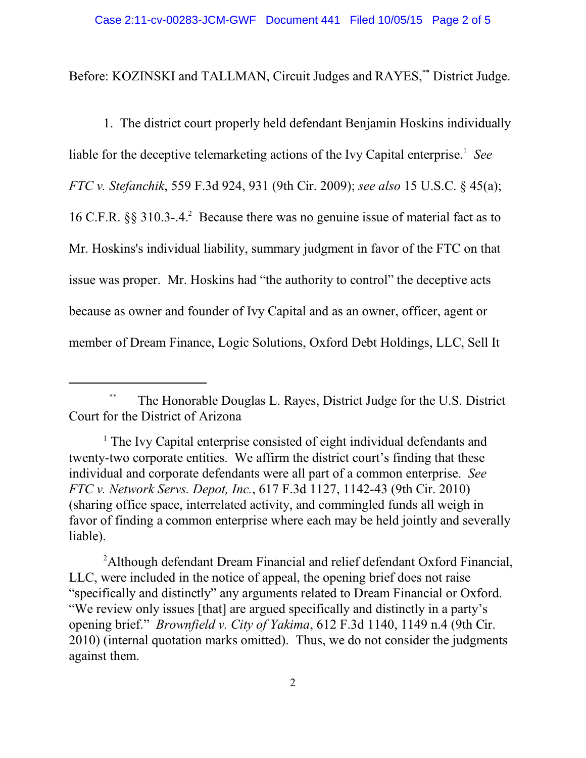Before: KOZINSKI and TALLMAN, Circuit Judges and RAYES,\*\* District Judge.

liable for the deceptive telemarketing actions of the Ivy Capital enterprise.<sup>1</sup> See 1. The district court properly held defendant Benjamin Hoskins individually *FTC v. Stefanchik*, 559 F.3d 924, 931 (9th Cir. 2009); *see also* 15 U.S.C. § 45(a); 16 C.F.R. §§ 310.3-.4.<sup>2</sup> Because there was no genuine issue of material fact as to Mr. Hoskins's individual liability, summary judgment in favor of the FTC on that issue was proper. Mr. Hoskins had "the authority to control" the deceptive acts because as owner and founder of Ivy Capital and as an owner, officer, agent or member of Dream Finance, Logic Solutions, Oxford Debt Holdings, LLC, Sell It

 opening brief." *Brownfield v. City of Yakima*, 612 F.3d 1140, 1149 n.4 (9th Cir. <sup>2</sup>Although defendant Dream Financial and relief defendant Oxford Financial, LLC, were included in the notice of appeal, the opening brief does not raise "specifically and distinctly" any arguments related to Dream Financial or Oxford. "We review only issues [that] are argued specifically and distinctly in a party's 2010) (internal quotation marks omitted). Thus, we do not consider the judgments against them.

 <sup>\*\*</sup> The Honorable Douglas L. Rayes, District Judge for the U.S. District Court for the District of Arizona

 individual and corporate defendants were all part of a common enterprise. *See*  <sup>1</sup> The Ivy Capital enterprise consisted of eight individual defendants and twenty-two corporate entities. We affirm the district court's finding that these *FTC v. Network Servs. Depot, Inc.*, 617 F.3d 1127, 1142-43 (9th Cir. 2010) (sharing office space, interrelated activity, and commingled funds all weigh in favor of finding a common enterprise where each may be held jointly and severally liable).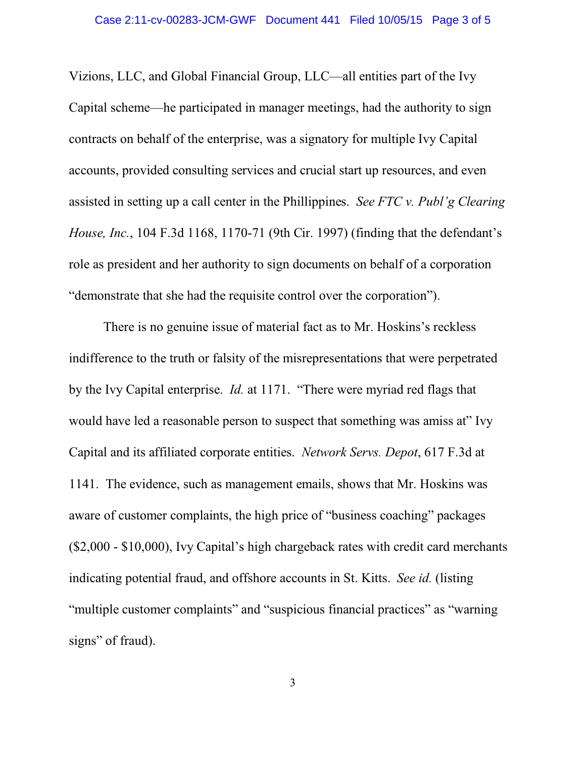Vizions, LLC, and Global Financial Group, LLC—all entities part of the Ivy Capital scheme—he participated in manager meetings, had the authority to sign contracts on behalf of the enterprise, was a signatory for multiple Ivy Capital accounts, provided consulting services and crucial start up resources, and even assisted in setting up a call center in the Phillippines. *See FTC v. Publ'g Clearing House, Inc.*, 104 F.3d 1168, 1170-71 (9th Cir. 1997) (finding that the defendant's role as president and her authority to sign documents on behalf of a corporation "demonstrate that she had the requisite control over the corporation").

 by the Ivy Capital enterprise. *Id.* at 1171. "There were myriad red flags that There is no genuine issue of material fact as to Mr. Hoskins's reckless indifference to the truth or falsity of the misrepresentations that were perpetrated would have led a reasonable person to suspect that something was amiss at" Ivy Capital and its affiliated corporate entities. *Network Servs. Depot*, 617 F.3d at 1141. The evidence, such as management emails, shows that Mr. Hoskins was aware of customer complaints, the high price of "business coaching" packages (\$2,000 - \$10,000), Ivy Capital's high chargeback rates with credit card merchants indicating potential fraud, and offshore accounts in St. Kitts. *See id.* (listing "multiple customer complaints" and "suspicious financial practices" as "warning signs" of fraud).

3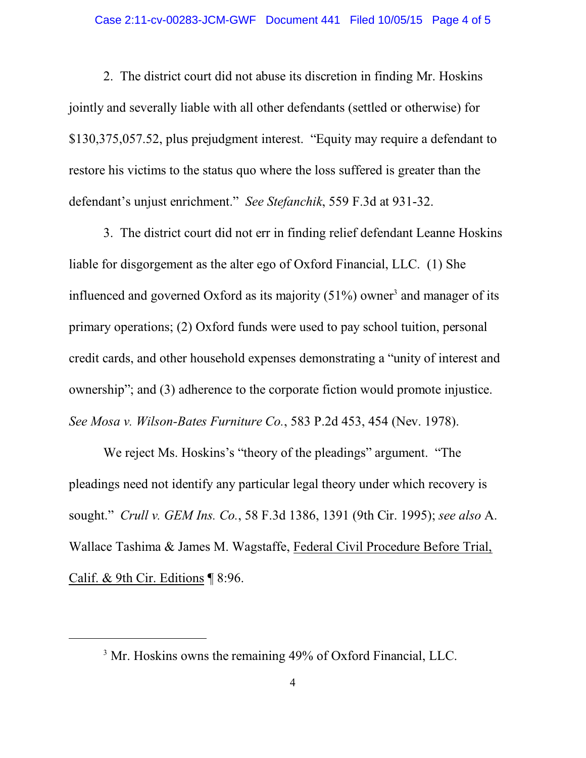defendant's unjust enrichment." *See Stefanchik*, 559 F.3d at 931-32. 2. The district court did not abuse its discretion in finding Mr. Hoskins jointly and severally liable with all other defendants (settled or otherwise) for \$[130,375,057.52](https://130,375,057.52), plus prejudgment interest. "Equity may require a defendant to restore his victims to the status quo where the loss suffered is greater than the

3. The district court did not err in finding relief defendant Leanne Hoskins liable for disgorgement as the alter ego of Oxford Financial, LLC. (1) She influenced and governed Oxford as its majority  $(51%)$  owner<sup>3</sup> and manager of its primary operations; (2) Oxford funds were used to pay school tuition, personal credit cards, and other household expenses demonstrating a "unity of interest and ownership"; and (3) adherence to the corporate fiction would promote injustice. *See Mosa v. Wilson-Bates Furniture Co.*, 583 P.2d 453, 454 (Nev. 1978).

 sought." *Crull v. GEM Ins. Co.*, 58 F.3d 1386, 1391 (9th Cir. 1995); *see also* A. We reject Ms. Hoskins's "theory of the pleadings" argument. "The pleadings need not identify any particular legal theory under which recovery is Wallace Tashima & James M. Wagstaffe, Federal Civil Procedure Before Trial, Calif. & 9th Cir. Editions ¶ 8:96.

<sup>&</sup>lt;sup>3</sup> Mr. Hoskins owns the remaining 49% of Oxford Financial, LLC.